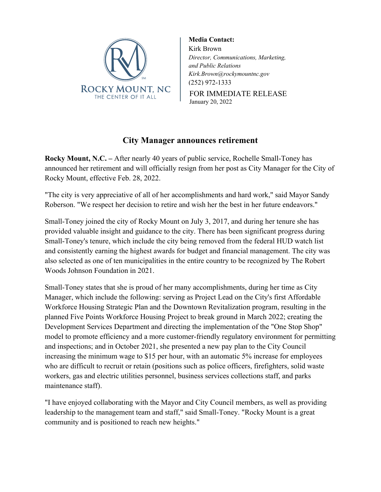

FOR IMMEDIATE RELEASE **Media Contact:** Kirk Brown *Director, Communications, Marketing, and Public Relations Kirk.Brown@rockymountnc.gov* (252) 972-1333

January 20, 2022

## **City Manager announces retirement**

**Rocky Mount, N.C. –** After nearly 40 years of public service, Rochelle Small-Toney has announced her retirement and will officially resign from her post as City Manager for the City of Rocky Mount, effective Feb. 28, 2022.

"The city is very appreciative of all of her accomplishments and hard work," said Mayor Sandy Roberson. "We respect her decision to retire and wish her the best in her future endeavors."

Small-Toney joined the city of Rocky Mount on July 3, 2017, and during her tenure she has provided valuable insight and guidance to the city. There has been significant progress during Small-Toney's tenure, which include the city being removed from the federal HUD watch list and consistently earning the highest awards for budget and financial management. The city was also selected as one of ten municipalities in the entire country to be recognized by The Robert Woods Johnson Foundation in 2021.

Small-Toney states that she is proud of her many accomplishments, during her time as City Manager, which include the following: serving as Project Lead on the City's first Affordable Workforce Housing Strategic Plan and the Downtown Revitalization program, resulting in the planned Five Points Workforce Housing Project to break ground in March 2022; creating the Development Services Department and directing the implementation of the "One Stop Shop" model to promote efficiency and a more customer-friendly regulatory environment for permitting and inspections; and in October 2021, she presented a new pay plan to the City Council increasing the minimum wage to \$15 per hour, with an automatic 5% increase for employees who are difficult to recruit or retain (positions such as police officers, firefighters, solid waste workers, gas and electric utilities personnel, business services collections staff, and parks maintenance staff).

"I have enjoyed collaborating with the Mayor and City Council members, as well as providing leadership to the management team and staff," said Small-Toney. "Rocky Mount is a great community and is positioned to reach new heights."